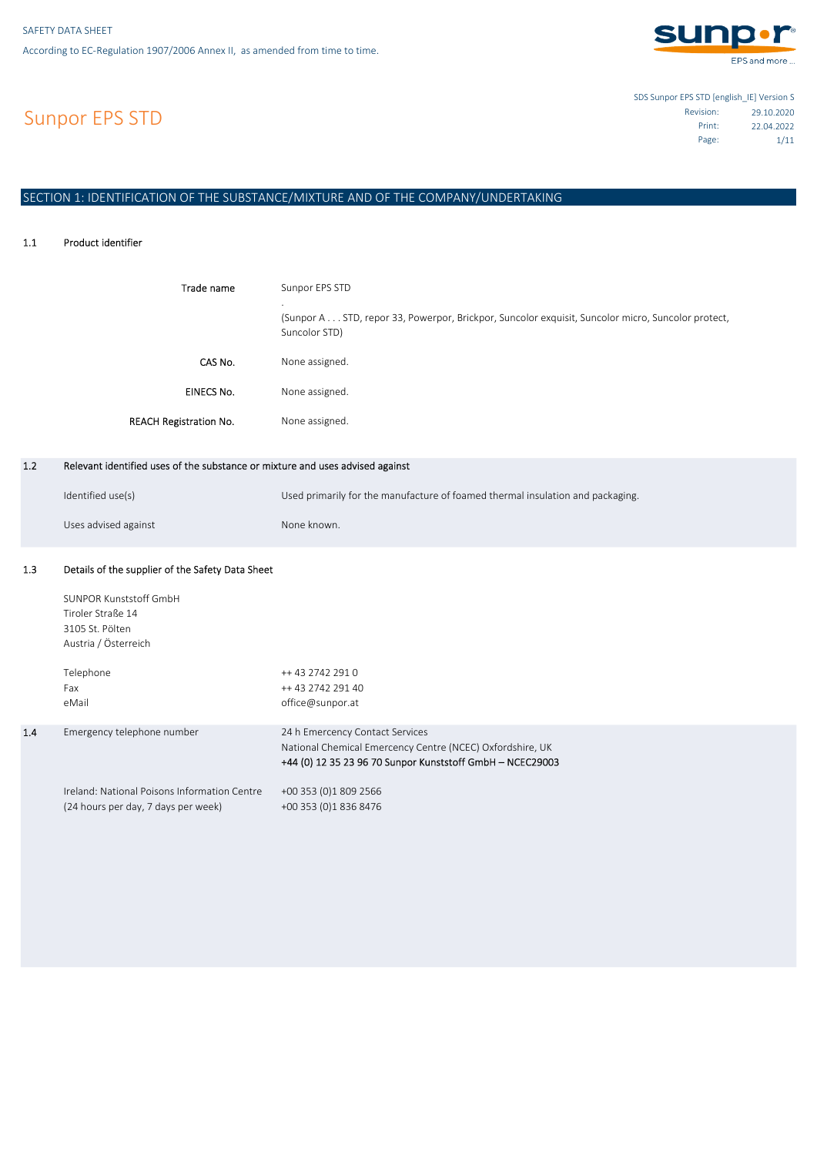

EPS and more ...

# Sunpor EPS STD

SDS Sunpor EPS STD [english\_IE] Version S 29.10.2020 Revision: 22.04.2022 Print: 1/11 Page:

# SECTION 1: IDENTIFICATION OF THE SUBSTANCE/MIXTURE AND OF THE COMPANY/UNDERTAKING

#### 1.1 Product identifier

| Trade name                    | Sunpor EPS STD<br>$\cdot$<br>(Sunpor A STD, repor 33, Powerpor, Brickpor, Suncolor exquisit, Suncolor micro, Suncolor protect,<br>Suncolor STD) |
|-------------------------------|-------------------------------------------------------------------------------------------------------------------------------------------------|
| CAS No.                       | None assigned.                                                                                                                                  |
| <b>EINECS No.</b>             | None assigned.                                                                                                                                  |
| <b>REACH Registration No.</b> | None assigned.                                                                                                                                  |

#### 1.2 Relevant identified uses of the substance or mixture and uses advised against

| Identified use(s)    | Used primarily for the manufacture of foamed thermal insulation and packaging. |
|----------------------|--------------------------------------------------------------------------------|
| Uses advised against | None known.                                                                    |

#### 1.3 Details of the supplier of the Safety Data Sheet

1.4

| SUNPOR Kunststoff GmbH<br>Tiroler Straße 14<br>3105 St. Pölten<br>Austria / Österreich<br>Telephone<br>Fax<br>eMail | ++ 43 2742 291 0<br>++ 43 2742 291 40<br>office@sunpor.at                                                                                                 |
|---------------------------------------------------------------------------------------------------------------------|-----------------------------------------------------------------------------------------------------------------------------------------------------------|
| Emergency telephone number                                                                                          | 24 h Emercency Contact Services<br>National Chemical Emercency Centre (NCEC) Oxfordshire, UK<br>+44 (0) 12 35 23 96 70 Sunpor Kunststoff GmbH - NCEC29003 |
| Ireland: National Poisons Information Centre<br>(24 hours per day, 7 days per week)                                 | +00 353 (0)1 809 2566<br>+00 353 (0)1 836 8476                                                                                                            |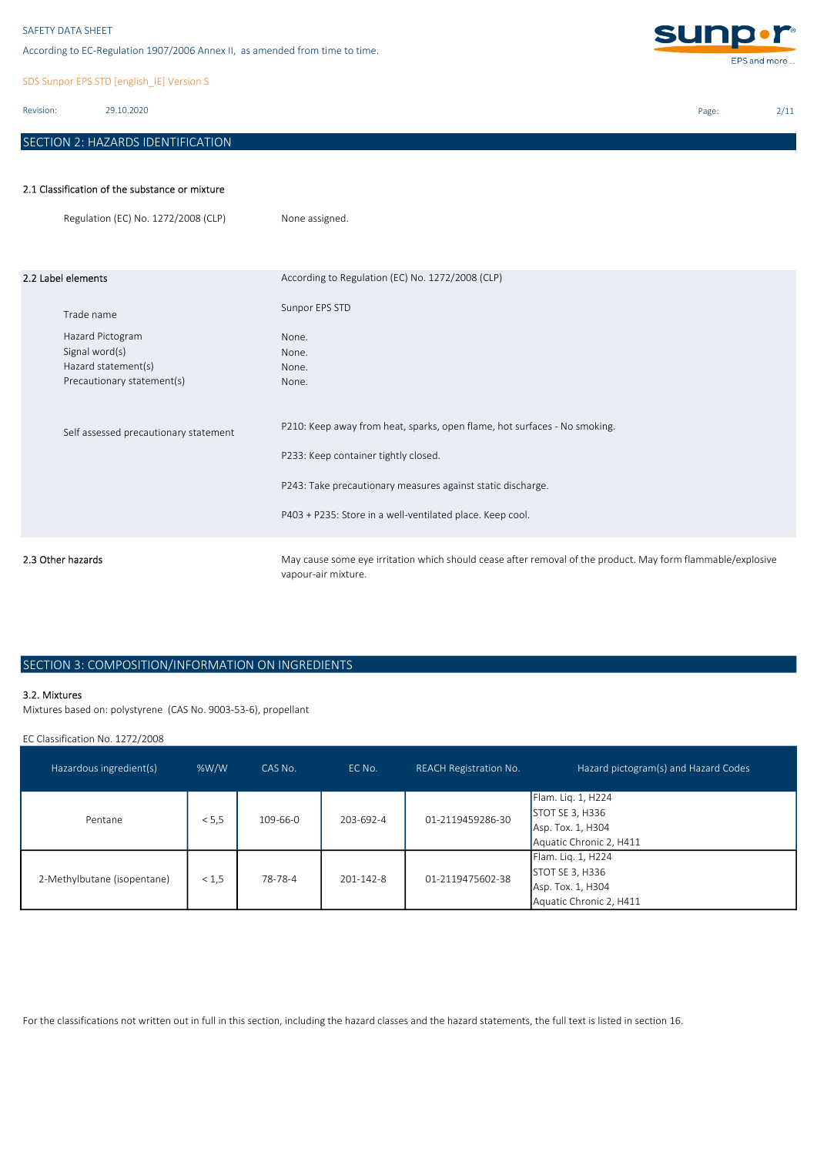According to EC-Regulation 1907/2006 Annex II, as amended from time to time.

SDS Sunpor EPS STD [english\_IE] Version S

Revision: 29.10.2020

# SECTION 2: HAZARDS IDENTIFICATION



Page: 2/11

### 2.1 Classification of the substance or mixture

|                    | Regulation (EC) No. 1272/2008 (CLP)                                                                   | None assigned.                                                                                                                                                                                                                                |
|--------------------|-------------------------------------------------------------------------------------------------------|-----------------------------------------------------------------------------------------------------------------------------------------------------------------------------------------------------------------------------------------------|
| 2.2 Label elements |                                                                                                       | According to Regulation (EC) No. 1272/2008 (CLP)<br>Sunpor EPS STD                                                                                                                                                                            |
|                    | Trade name<br>Hazard Pictogram<br>Signal word(s)<br>Hazard statement(s)<br>Precautionary statement(s) | None.<br>None.<br>None.<br>None.                                                                                                                                                                                                              |
|                    | Self assessed precautionary statement                                                                 | P210: Keep away from heat, sparks, open flame, hot surfaces - No smoking.<br>P233: Keep container tightly closed.<br>P243: Take precautionary measures against static discharge.<br>P403 + P235: Store in a well-ventilated place. Keep cool. |
| 2.3 Other hazards  |                                                                                                       | May cause some eye irritation which should cease after removal of the product. May form flammable/explosive<br>vapour-air mixture.                                                                                                            |

# SECTION 3: COMPOSITION/INFORMATION ON INGREDIENTS

### 3.2. Mixtures

Mixtures based on: polystyrene (CAS No. 9003-53-6), propellant

EC Classification No. 1272/2008

| Hazardous ingredient(s)     | %W/W  | CAS No.        | EC No.          | <b>REACH Registration No.</b> | Hazard pictogram(s) and Hazard Codes                                                         |
|-----------------------------|-------|----------------|-----------------|-------------------------------|----------------------------------------------------------------------------------------------|
| Pentane                     | < 5.5 | $109 - 66 - 0$ | 203-692-4       | 01-2119459286-30              | Flam. Lig. 1, H224<br><b>STOT SE 3, H336</b><br>Asp. Tox. 1, H304<br>Aquatic Chronic 2, H411 |
| 2-Methylbutane (isopentane) | < 1.5 | 78-78-4        | $201 - 142 - 8$ | 01-2119475602-38              | Flam. Lig. 1, H224<br>STOT SE 3, H336<br>Asp. Tox. 1, H304<br>Aquatic Chronic 2, H411        |

For the classifications not written out in full in this section, including the hazard classes and the hazard statements, the full text is listed in section 16.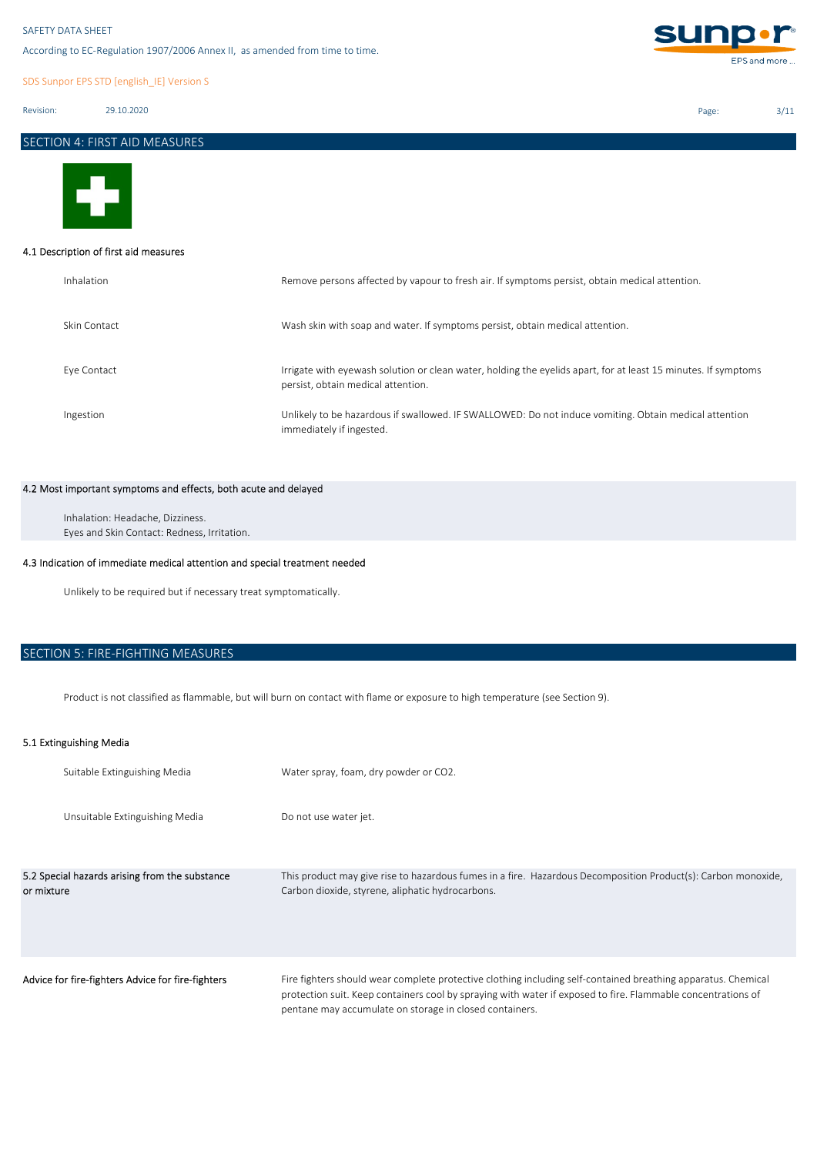According to EC-Regulation 1907/2006 Annex II, as amended from time to time.

SDS Sunpor EPS STD [english\_IE] Version S

Revision: 29.10.2020

# SECTION 4: FIRST AID MEASURES



### 4.1 Description of first aid measures

| Inhalation   | Remove persons affected by vapour to fresh air. If symptoms persist, obtain medical attention.                                                       |
|--------------|------------------------------------------------------------------------------------------------------------------------------------------------------|
| Skin Contact | Wash skin with soap and water. If symptoms persist, obtain medical attention.                                                                        |
| Eye Contact  | Irrigate with eyewash solution or clean water, holding the eyelids apart, for at least 15 minutes. If symptoms<br>persist, obtain medical attention. |
| Ingestion    | Unlikely to be hazardous if swallowed. IF SWALLOWED: Do not induce vomiting. Obtain medical attention<br>immediately if ingested.                    |

### 4.2 Most important symptoms and effects, both acute and delayed

Eyes and Skin Contact: Redness, Irritation. Inhalation: Headache, Dizziness.

### 4.3 Indication of immediate medical attention and special treatment needed

Unlikely to be required but if necessary treat symptomatically.

# SECTION 5: FIRE-FIGHTING MEASURES

Product is not classified as flammable, but will burn on contact with flame or exposure to high temperature (see Section 9).

# 5.1 Extinguishing Media

| Suitable Extinguishing Media                                 | Water spray, foam, dry powder or CO2.                                                                                                                                                                                                                                                    |
|--------------------------------------------------------------|------------------------------------------------------------------------------------------------------------------------------------------------------------------------------------------------------------------------------------------------------------------------------------------|
| Unsuitable Extinguishing Media                               | Do not use water jet.                                                                                                                                                                                                                                                                    |
| 5.2 Special hazards arising from the substance<br>or mixture | This product may give rise to hazardous fumes in a fire. Hazardous Decomposition Product(s): Carbon monoxide,<br>Carbon dioxide, styrene, aliphatic hydrocarbons.                                                                                                                        |
| Advice for fire-fighters Advice for fire-fighters            | Fire fighters should wear complete protective clothing including self-contained breathing apparatus. Chemical<br>protection suit. Keep containers cool by spraying with water if exposed to fire. Flammable concentrations of<br>pentane may accumulate on storage in closed containers. |



Page: 3/11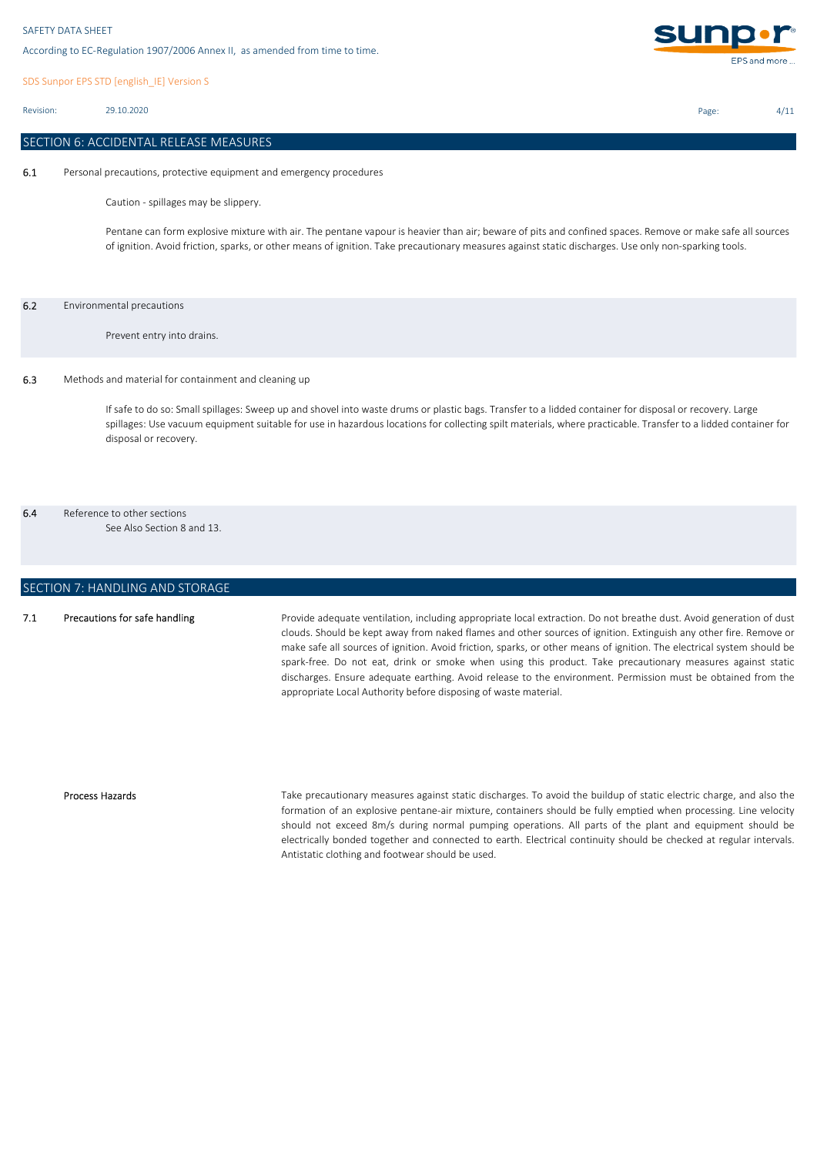SDS Sunpor EPS STD [english\_IE] Version S

Revision: 29.10.2020

# SECTION 6: ACCIDENTAL RELEASE MEASURES

6.1 Personal precautions, protective equipment and emergency procedures

Caution - spillages may be slippery.

Pentane can form explosive mixture with air. The pentane vapour is heavier than air; beware of pits and confined spaces. Remove or make safe all sources of ignition. Avoid friction, sparks, or other means of ignition. Take precautionary measures against static discharges. Use only non-sparking tools.

### 6.2 Environmental precautions

Prevent entry into drains.

### 6.3 Methods and material for containment and cleaning up

If safe to do so: Small spillages: Sweep up and shovel into waste drums or plastic bags. Transfer to a lidded container for disposal or recovery. Large spillages: Use vacuum equipment suitable for use in hazardous locations for collecting spilt materials, where practicable. Transfer to a lidded container for disposal or recovery.

6.4 Reference to other sections

See Also Section 8 and 13.

# SECTION 7: HANDLING AND STORAGE

#### 7.1 Precautions for safe handling

Provide adequate ventilation, including appropriate local extraction. Do not breathe dust. Avoid generation of dust clouds. Should be kept away from naked flames and other sources of ignition. Extinguish any other fire. Remove or make safe all sources of ignition. Avoid friction, sparks, or other means of ignition. The electrical system should be spark-free. Do not eat, drink or smoke when using this product. Take precautionary measures against static discharges. Ensure adequate earthing. Avoid release to the environment. Permission must be obtained from the appropriate Local Authority before disposing of waste material.

### Process Hazards

Take precautionary measures against static discharges. To avoid the buildup of static electric charge, and also the formation of an explosive pentane-air mixture, containers should be fully emptied when processing. Line velocity should not exceed 8m/s during normal pumping operations. All parts of the plant and equipment should be electrically bonded together and connected to earth. Electrical continuity should be checked at regular intervals. Antistatic clothing and footwear should be used.



Page: 4/11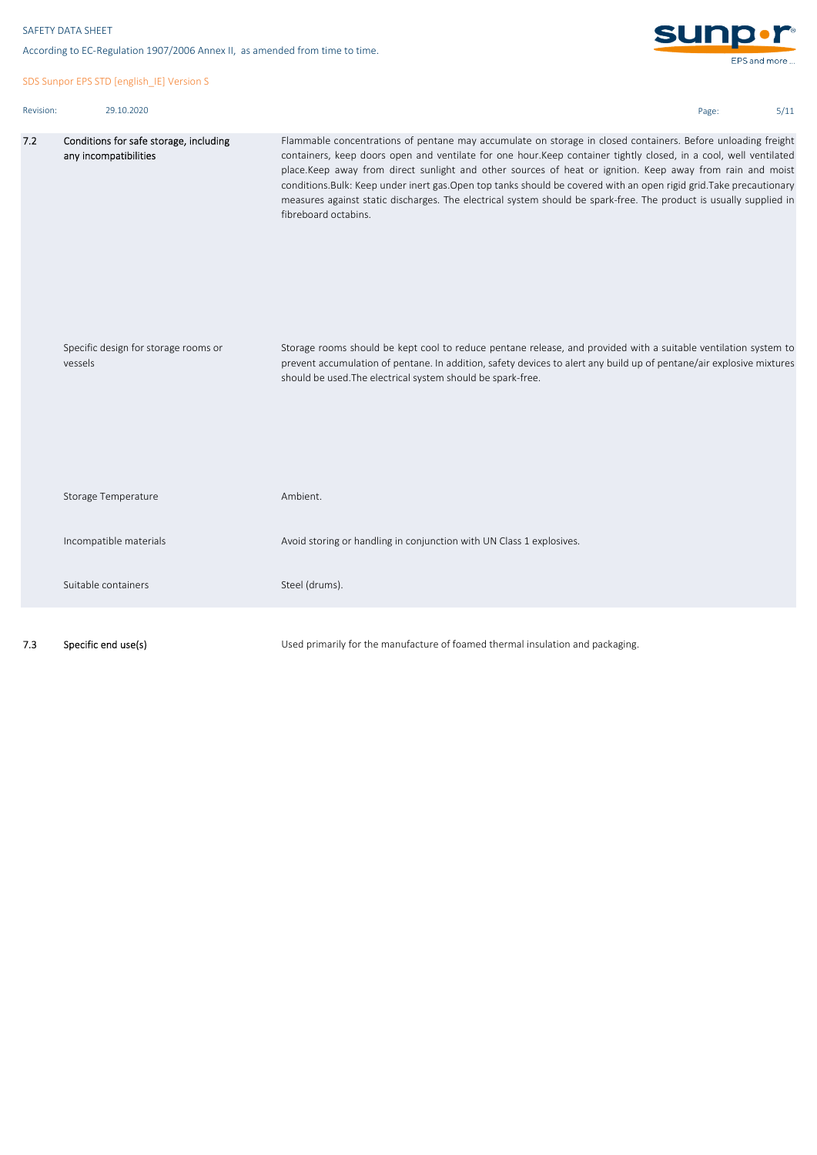7.2

SDS Sunpor EPS STD [english\_IE] Version S

```
sunp.r
According to EC-Regulation 1907/2006 Annex II, as amended from time to time.
                                                                                                                                                 EPS and more ...
Revision: 29.10.2020 Page: 5/11
        Conditions for safe storage, including 
                                                     Flammable concentrations of pentane may accumulate on storage in closed containers. Before unloading freight
        any incompatibilities
                                                     containers, keep doors open and ventilate for one hour.Keep container tightly closed, in a cool, well ventilated
                                                     place.Keep away from direct sunlight and other sources of heat or ignition. Keep away from rain and moist
                                                     conditions.Bulk: Keep under inert gas.Open top tanks should be covered with an open rigid grid.Take precautionary
                                                     measures against static discharges. The electrical system should be spark-free. The product is usually supplied in
                                                     fibreboard octabins.
```

| Specific design for storage rooms or<br>vessels | Storage rooms should be kept cool to reduce pentane release, and provided with a suitable ventilation system to<br>prevent accumulation of pentane. In addition, safety devices to alert any build up of pentane/air explosive mixtures<br>should be used. The electrical system should be spark-free. |
|-------------------------------------------------|--------------------------------------------------------------------------------------------------------------------------------------------------------------------------------------------------------------------------------------------------------------------------------------------------------|
| Storage Temperature                             | Ambient.                                                                                                                                                                                                                                                                                               |
| Incompatible materials                          | Avoid storing or handling in conjunction with UN Class 1 explosives.                                                                                                                                                                                                                                   |
| Suitable containers                             | Steel (drums).                                                                                                                                                                                                                                                                                         |
|                                                 |                                                                                                                                                                                                                                                                                                        |

7.3 Specific end use(s)

Used primarily for the manufacture of foamed thermal insulation and packaging.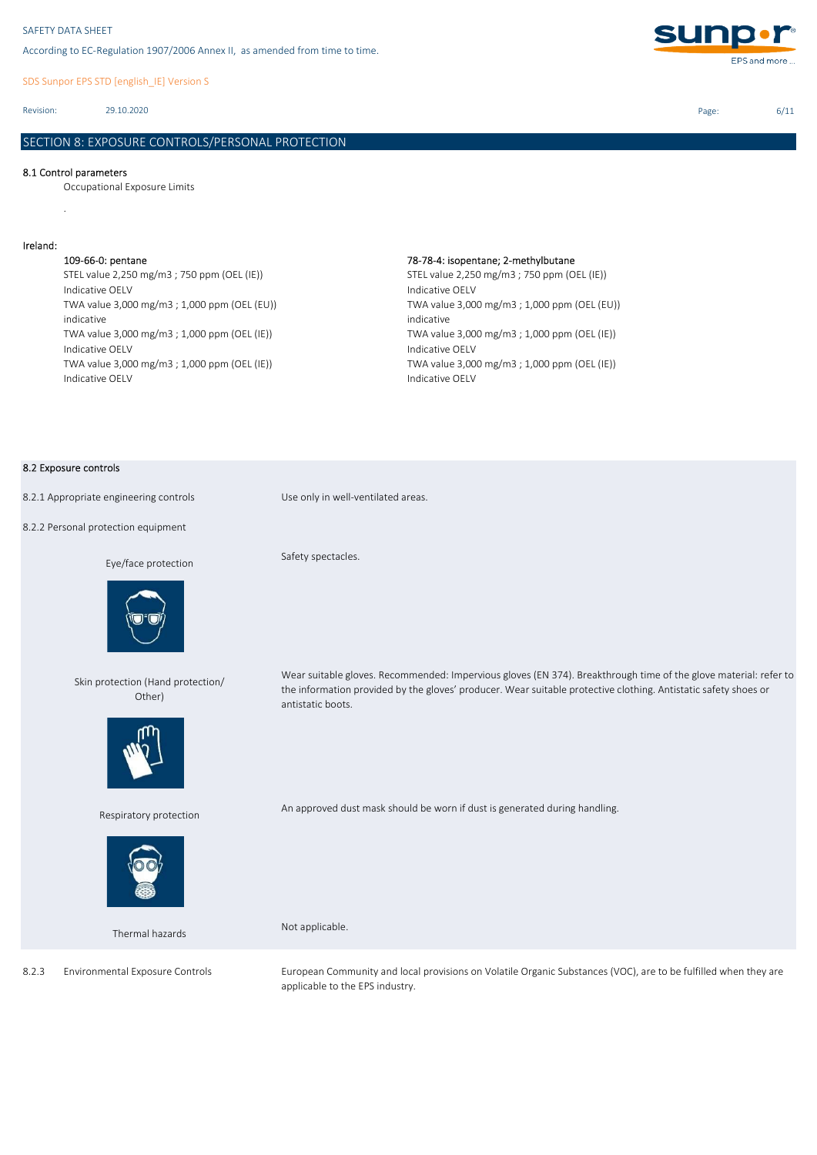SDS Sunpor EPS STD [english\_IE] Version S

Revision: 29.10.2020

# SECTION 8: EXPOSURE CONTROLS/PERSONAL PROTECTION

### 8.1 Control parameters

.

Occupational Exposure Limits

### Ireland:

STEL value 2,250 mg/m3 ; 750 ppm (OEL (IE)) Indicative OELV TWA value 3,000 mg/m3 ; 1,000 ppm (OEL (EU)) indicative TWA value 3,000 mg/m3 ; 1,000 ppm (OEL (IE)) Indicative OELV TWA value 3,000 mg/m3 ; 1,000 ppm (OEL (IE)) Indicative OELV

### 109-66-0: pentane 78-78-4: isopentane; 2-methylbutane

STEL value 2,250 mg/m3 ; 750 ppm (OEL (IE)) Indicative OELV TWA value 3,000 mg/m3 ; 1,000 ppm (OEL (EU)) indicative TWA value 3,000 mg/m3 ; 1,000 ppm (OEL (IE)) Indicative OELV TWA value 3,000 mg/m3 ; 1,000 ppm (OEL (IE)) Indicative OELV

### 8.2 Exposure controls

8.2.2 Personal protection equipment

### Eye/face protection



Skin protection (Hand protection/ Other)



Respiratory protection



Thermal hazards

Environmental Exposure Controls

8.2.3

8.2.1 Appropriate engineering controls Use only in well-ventilated areas.

Safety spectacles.

Wear suitable gloves. Recommended: Impervious gloves (EN 374). Breakthrough time of the glove material: refer to the information provided by the gloves' producer. Wear suitable protective clothing. Antistatic safety shoes or antistatic boots.

An approved dust mask should be worn if dust is generated during handling.

Not applicable.

European Community and local provisions on Volatile Organic Substances (VOC), are to be fulfilled when they are applicable to the EPS industry.

Page: 6/11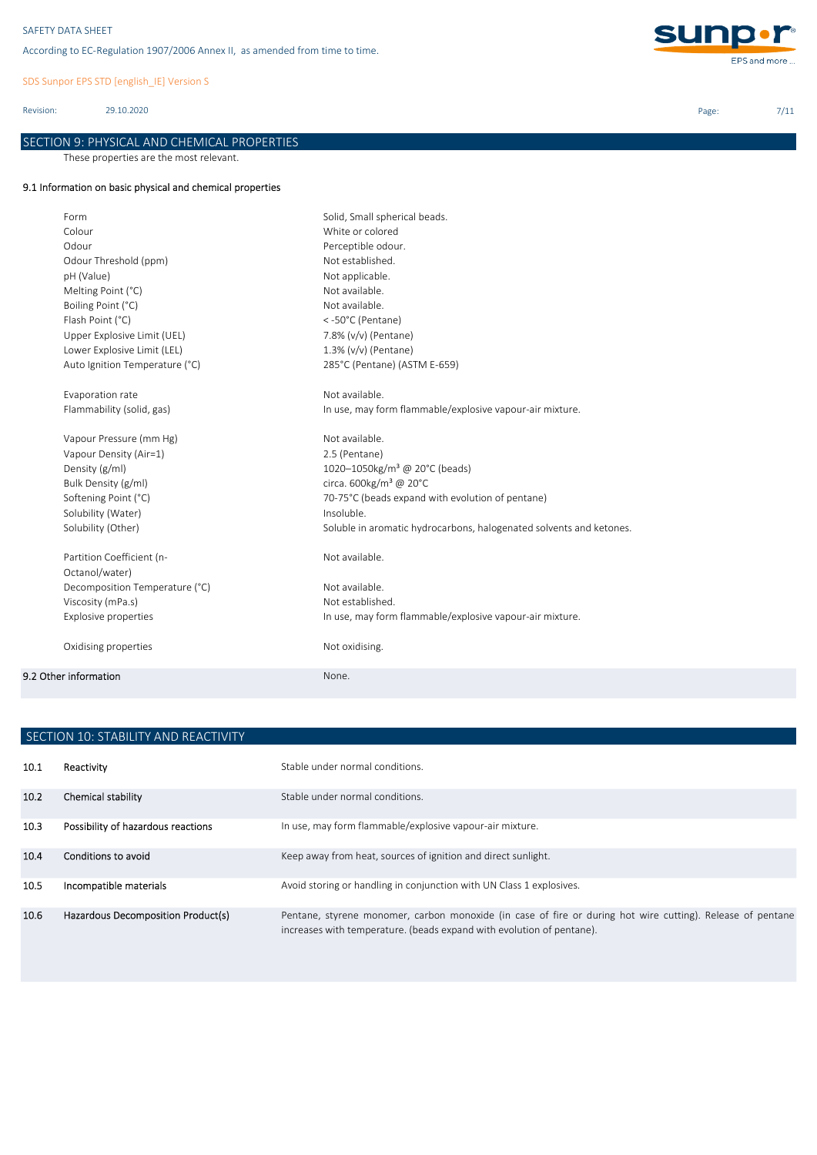SDS Sunpor EPS STD [english\_IE] Version S

Revision: 29.10.2020

SECTION 9: PHYSICAL AND CHEMICAL PROPERTIES

These properties are the most relevant.

# 9.1 Information on basic physical and chemical properties

| Form                           | Solid, Small spherical beads.                                       |
|--------------------------------|---------------------------------------------------------------------|
| Colour                         | White or colored                                                    |
| Odour                          | Perceptible odour.                                                  |
| Odour Threshold (ppm)          | Not established.                                                    |
| pH (Value)                     | Not applicable.                                                     |
| Melting Point (°C)             | Not available.                                                      |
| Boiling Point (°C)             | Not available.                                                      |
| Flash Point (°C)               | <-50°C (Pentane)                                                    |
| Upper Explosive Limit (UEL)    | 7.8% (v/v) (Pentane)                                                |
| Lower Explosive Limit (LEL)    | 1.3% (v/v) (Pentane)                                                |
| Auto Ignition Temperature (°C) | 285°C (Pentane) (ASTM E-659)                                        |
| Evaporation rate               | Not available.                                                      |
| Flammability (solid, gas)      | In use, may form flammable/explosive vapour-air mixture.            |
| Vapour Pressure (mm Hg)        | Not available.                                                      |
| Vapour Density (Air=1)         | 2.5 (Pentane)                                                       |
| Density (g/ml)                 | 1020-1050kg/m <sup>3</sup> @ 20°C (beads)                           |
| Bulk Density (g/ml)            | circa. 600kg/m <sup>3</sup> @ 20°C                                  |
| Softening Point (°C)           | 70-75°C (beads expand with evolution of pentane)                    |
| Solubility (Water)             | Insoluble.                                                          |
| Solubility (Other)             | Soluble in aromatic hydrocarbons, halogenated solvents and ketones. |
| Partition Coefficient (n-      | Not available.                                                      |
| Octanol/water)                 |                                                                     |
| Decomposition Temperature (°C) | Not available.                                                      |
| Viscosity (mPa.s)              | Not established.                                                    |
| Explosive properties           | In use, may form flammable/explosive vapour-air mixture.            |
| Oxidising properties           | Not oxidising.                                                      |
| 9.2 Other information          | None.                                                               |
|                                |                                                                     |

| SECTION 10: STABILITY AND REACTIVITY |                                    |                                                                                                                                                                                     |
|--------------------------------------|------------------------------------|-------------------------------------------------------------------------------------------------------------------------------------------------------------------------------------|
| 10.1                                 | Reactivity                         | Stable under normal conditions.                                                                                                                                                     |
| 10.2 <sub>1</sub>                    | Chemical stability                 | Stable under normal conditions.                                                                                                                                                     |
| 10.3                                 | Possibility of hazardous reactions | In use, may form flammable/explosive vapour-air mixture.                                                                                                                            |
| 10.4                                 | Conditions to avoid                | Keep away from heat, sources of ignition and direct sunlight.                                                                                                                       |
| 10.5                                 | Incompatible materials             | Avoid storing or handling in conjunction with UN Class 1 explosives.                                                                                                                |
| 10.6                                 | Hazardous Decomposition Product(s) | Pentane, styrene monomer, carbon monoxide (in case of fire or during hot wire cutting). Release of pentane<br>increases with temperature. (beads expand with evolution of pentane). |



Page: 7/11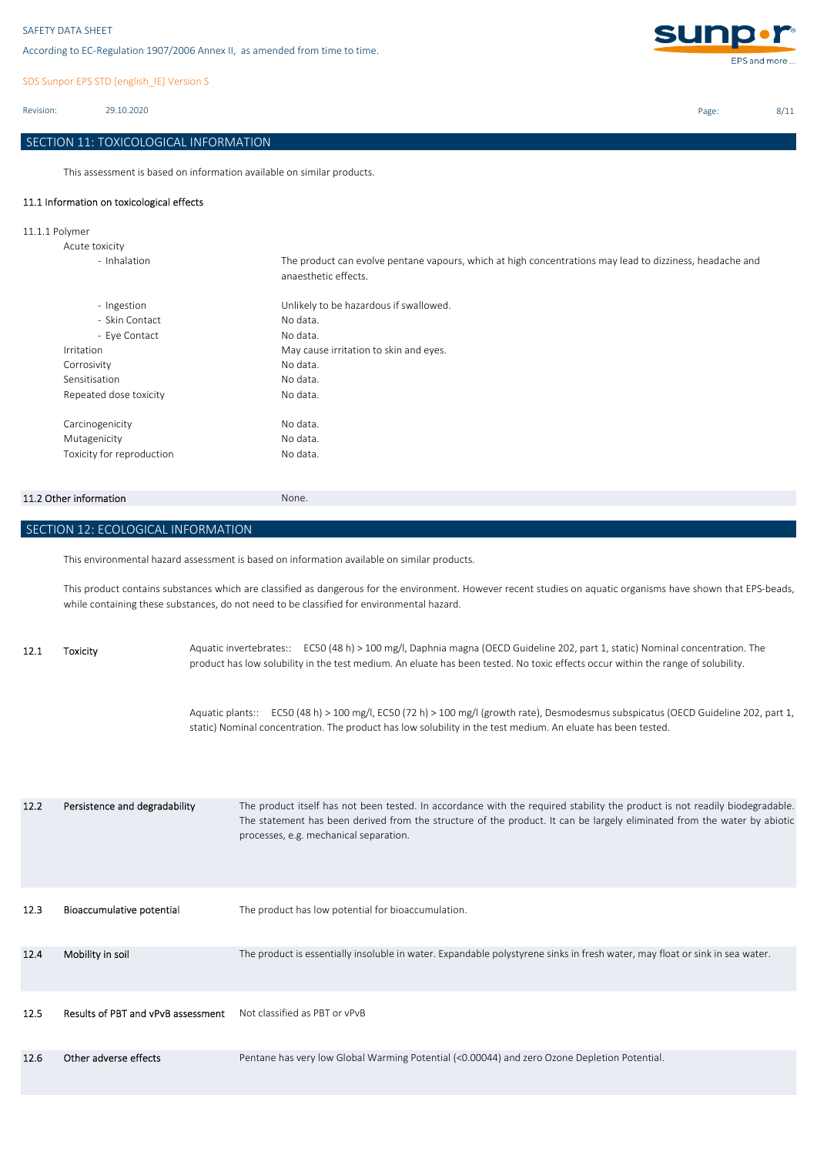SDS Sunpor EPS STD [english\_IE] Version S

Revision: 29.10.2020

# SECTION 11: TOXICOLOGICAL INFORMATION

This assessment is based on information available on similar products.

# 11.1 Information on toxicological effects

11.1.1 Polymer

| Acute toxicity            |                                                                                                                                  |
|---------------------------|----------------------------------------------------------------------------------------------------------------------------------|
| - Inhalation              | The product can evolve pentane vapours, which at high concentrations may lead to dizziness, headache and<br>anaesthetic effects. |
| - Ingestion               | Unlikely to be hazardous if swallowed.                                                                                           |
| - Skin Contact            | No data.                                                                                                                         |
| - Eye Contact             | No data.                                                                                                                         |
| Irritation                | May cause irritation to skin and eyes.                                                                                           |
| Corrosivity               | No data.                                                                                                                         |
| Sensitisation             | No data.                                                                                                                         |
| Repeated dose toxicity    | No data.                                                                                                                         |
| Carcinogenicity           | No data.                                                                                                                         |
| Mutagenicity              | No data.                                                                                                                         |
| Toxicity for reproduction | No data.                                                                                                                         |

### 11.2 Other information None.

SECTION 12: ECOLOGICAL INFORMATION

This environmental hazard assessment is based on information available on similar products.

This product contains substances which are classified as dangerous for the environment. However recent studies on aquatic organisms have shown that EPS-beads, while containing these substances, do not need to be classified for environmental hazard.

12.1 Toxicity Aquatic invertebrates:: EC50 (48 h) > 100 mg/l, Daphnia magna (OECD Guideline 202, part 1, static) Nominal concentration. The product has low solubility in the test medium. An eluate has been tested. No toxic effects occur within the range of solubility.

> Aquatic plants:: EC50 (48 h) > 100 mg/l, EC50 (72 h) > 100 mg/l (growth rate), Desmodesmus subspicatus (OECD Guideline 202, part 1, static) Nominal concentration. The product has low solubility in the test medium. An eluate has been tested.

| 12.2 | Persistence and degradability      | The product itself has not been tested. In accordance with the required stability the product is not readily biodegradable.<br>The statement has been derived from the structure of the product. It can be largely eliminated from the water by abiotic<br>processes, e.g. mechanical separation. |
|------|------------------------------------|---------------------------------------------------------------------------------------------------------------------------------------------------------------------------------------------------------------------------------------------------------------------------------------------------|
| 12.3 | Bioaccumulative potential          | The product has low potential for bioaccumulation.                                                                                                                                                                                                                                                |
| 12.4 | Mobility in soil                   | The product is essentially insoluble in water. Expandable polystyrene sinks in fresh water, may float or sink in sea water.                                                                                                                                                                       |
| 12.5 | Results of PBT and vPvB assessment | Not classified as PBT or vPvB                                                                                                                                                                                                                                                                     |
| 12.6 | Other adverse effects              | Pentane has very low Global Warming Potential (<0.00044) and zero Ozone Depletion Potential.                                                                                                                                                                                                      |



Page: 8/11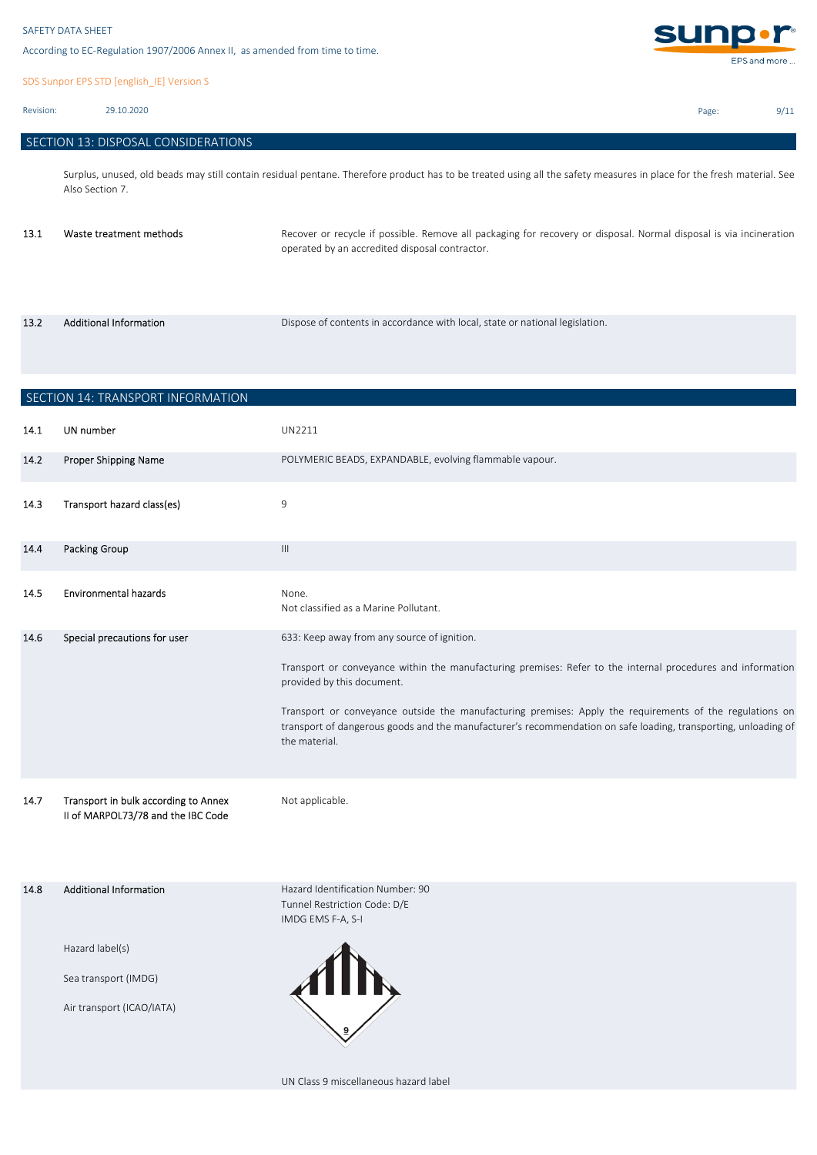SDS Sunpor EPS STD [english\_IE] Version S

Revision: 29.10.2020

13.2

```
 SECTION 13: DISPOSAL CONSIDERATIONS
```
Surplus, unused, old beads may still contain residual pentane. Therefore product has to be treated using all the safety measures in place for the fresh material. See Also Section 7.

| 13.1 | Waste treatment methods | Recover or recycle if possible. Remove all packaging for recovery or disposal. Normal disposal is via incineration<br>operated by an accredited disposal contractor. |
|------|-------------------------|----------------------------------------------------------------------------------------------------------------------------------------------------------------------|
|      |                         |                                                                                                                                                                      |

Additional Information **Dispose of contents in accordance with local**, state or national legislation.

|      | SECTION 14: TRANSPORT INFORMATION                                                                     |                                                                                                                                                                                                                                                                                                                                                                                                                                         |
|------|-------------------------------------------------------------------------------------------------------|-----------------------------------------------------------------------------------------------------------------------------------------------------------------------------------------------------------------------------------------------------------------------------------------------------------------------------------------------------------------------------------------------------------------------------------------|
| 14.1 | UN number                                                                                             | UN2211                                                                                                                                                                                                                                                                                                                                                                                                                                  |
| 14.2 | Proper Shipping Name                                                                                  | POLYMERIC BEADS, EXPANDABLE, evolving flammable vapour.                                                                                                                                                                                                                                                                                                                                                                                 |
| 14.3 | Transport hazard class(es)                                                                            | 9                                                                                                                                                                                                                                                                                                                                                                                                                                       |
| 14.4 | <b>Packing Group</b>                                                                                  | $\ensuremath{\mathsf{III}}\xspace$                                                                                                                                                                                                                                                                                                                                                                                                      |
| 14.5 | <b>Environmental hazards</b>                                                                          | None.<br>Not classified as a Marine Pollutant.                                                                                                                                                                                                                                                                                                                                                                                          |
| 14.6 | Special precautions for user                                                                          | 633: Keep away from any source of ignition.<br>Transport or conveyance within the manufacturing premises: Refer to the internal procedures and information<br>provided by this document.<br>Transport or conveyance outside the manufacturing premises: Apply the requirements of the regulations on<br>transport of dangerous goods and the manufacturer's recommendation on safe loading, transporting, unloading of<br>the material. |
| 14.7 | Transport in bulk according to Annex<br>II of MARPOL73/78 and the IBC Code                            | Not applicable.                                                                                                                                                                                                                                                                                                                                                                                                                         |
| 14.8 | <b>Additional Information</b><br>Hazard label(s)<br>Sea transport (IMDG)<br>Air transport (ICAO/IATA) | Hazard Identification Number: 90<br>Tunnel Restriction Code: D/E<br>IMDG EMS F-A, S-I                                                                                                                                                                                                                                                                                                                                                   |

UN Class 9 miscellaneous hazard label



Page: 9/11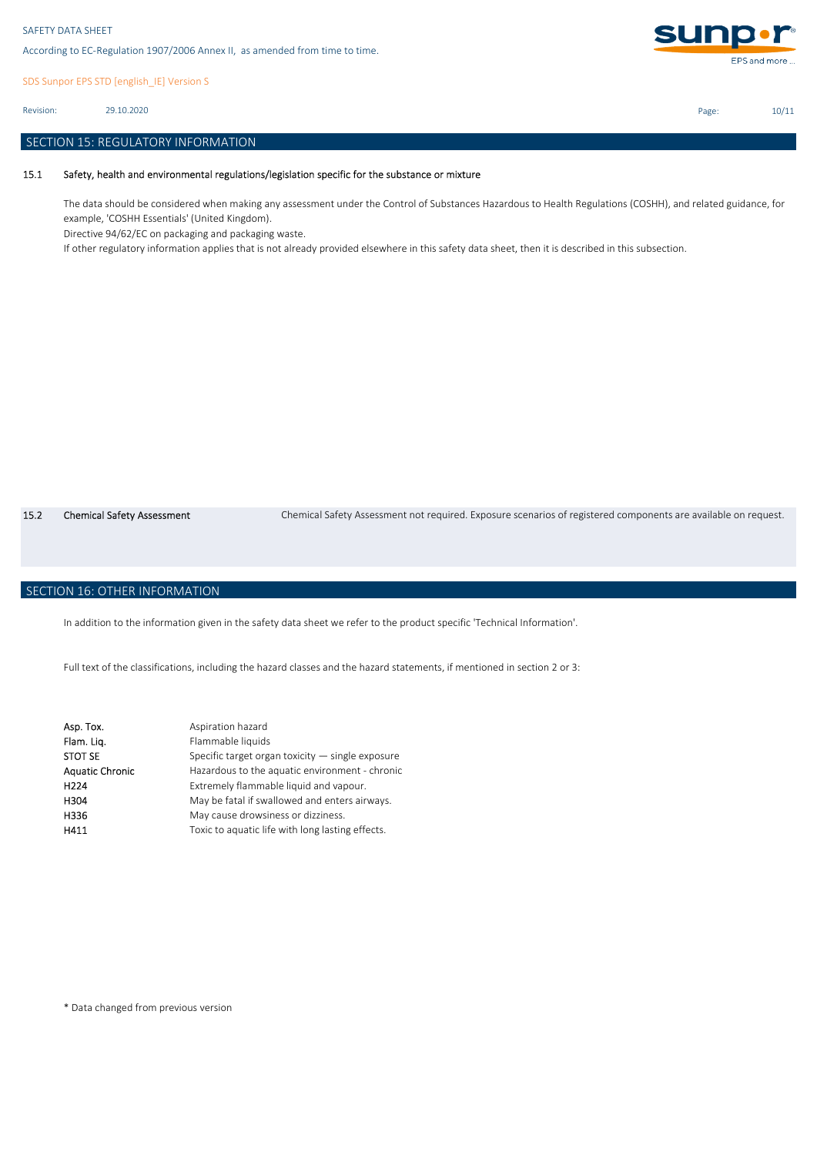SDS Sunpor EPS STD [english\_IE] Version S

29.10.2020 Revision:

### SECTION 15: REGULATORY INFORMATION

#### 15.1 Safety, health and environmental regulations/legislation specific for the substance or mixture

The data should be considered when making any assessment under the Control of Substances Hazardous to Health Regulations (COSHH), and related guidance, for example, 'COSHH Essentials' (United Kingdom).

Directive 94/62/EC on packaging and packaging waste.

If other regulatory information applies that is not already provided elsewhere in this safety data sheet, then it is described in this subsection.

15.2 Chemical Safety Assessment Chemical Safety Assessment not required. Exposure scenarios of registered components are available on request.

# SECTION 16: OTHER INFORMATION

In addition to the information given in the safety data sheet we refer to the product specific 'Technical Information'.

Full text of the classifications, including the hazard classes and the hazard statements, if mentioned in section 2 or 3:

| Asp. Tox.              | Aspiration hazard                                  |
|------------------------|----------------------------------------------------|
| Flam. Liq.             | Flammable liquids                                  |
| <b>STOT SE</b>         | Specific target organ toxicity $-$ single exposure |
| <b>Aquatic Chronic</b> | Hazardous to the aquatic environment - chronic     |
| H <sub>224</sub>       | Extremely flammable liquid and vapour.             |
| H304                   | May be fatal if swallowed and enters airways.      |
| H336                   | May cause drowsiness or dizziness.                 |
| H411                   | Toxic to aquatic life with long lasting effects.   |

\* Data changed from previous version



Page: 10/11